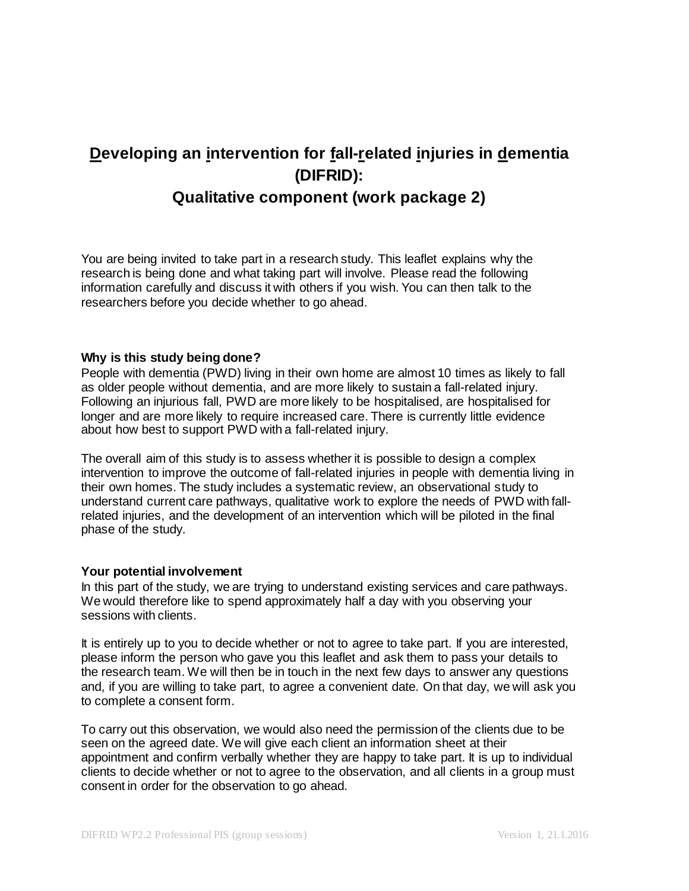# **Developing an intervention for fall-related injuries in dementia (DIFRID):**

## **Qualitative component (work package 2)**

You are being invited to take part in a research study. This leaflet explains why the research is being done and what taking part will involve. Please read the following information carefully and discuss it with others if you wish. You can then talk to the researchers before you decide whether to go ahead.

### **Why is this study being done?**

People with dementia (PWD) living in their own home are almost 10 times as likely to fall as older people without dementia, and are more likely to sustain a fall-related injury. Following an injurious fall, PWD are more likely to be hospitalised, are hospitalised for longer and are more likely to require increased care. There is currently little evidence about how best to support PWD with a fall-related injury.

The overall aim of this study is to assess whether it is possible to design a complex intervention to improve the outcome of fall-related injuries in people with dementia living in their own homes. The study includes a systematic review, an observational study to understand current care pathways, qualitative work to explore the needs of PWD with fallrelated injuries, and the development of an intervention which will be piloted in the final phase of the study.

### **Your potential involvement**

In this part of the study, we are trying to understand existing services and care pathways. We would therefore like to spend approximately half a day with you observing your sessions with clients.

It is entirely up to you to decide whether or not to agree to take part. If you are interested, please inform the person who gave you this leaflet and ask them to pass your details to the research team. We will then be in touch in the next few days to answer any questions and, if you are willing to take part, to agree a convenient date. On that day, we will ask you to complete a consent form.

To carry out this observation, we would also need the permission of the clients due to be seen on the agreed date. We will give each client an information sheet at their appointment and confirm verbally whether they are happy to take part. It is up to individual clients to decide whether or not to agree to the observation, and all clients in a group must consent in order for the observation to go ahead.